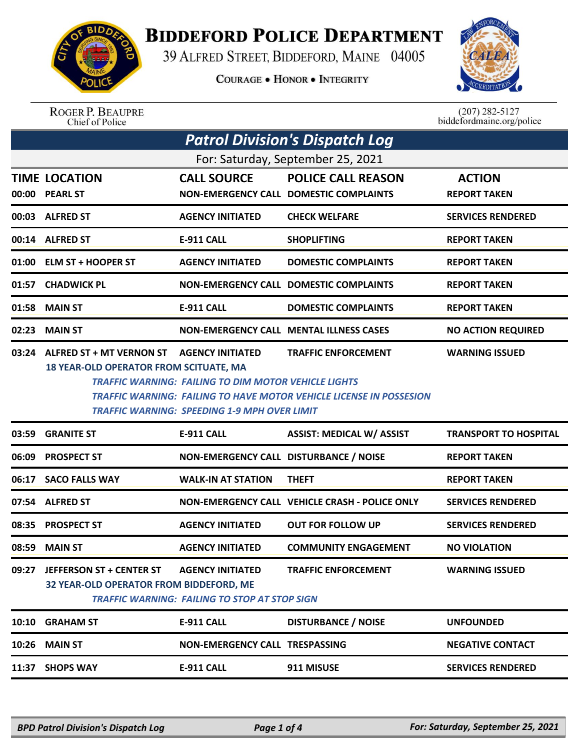

## **BIDDEFORD POLICE DEPARTMENT**

39 ALFRED STREET, BIDDEFORD, MAINE 04005

**COURAGE . HONOR . INTEGRITY** 



| <b>ROGER P. BEAUPRE</b> |
|-------------------------|
| Chief of Police         |

 $(207)$  282-5127<br>biddefordmaine.org/police

| <b>Patrol Division's Dispatch Log</b> |                                                                                                                                                                                                                                                                                                                                                                 |                                                                                 |                                                                     |                                      |  |
|---------------------------------------|-----------------------------------------------------------------------------------------------------------------------------------------------------------------------------------------------------------------------------------------------------------------------------------------------------------------------------------------------------------------|---------------------------------------------------------------------------------|---------------------------------------------------------------------|--------------------------------------|--|
| For: Saturday, September 25, 2021     |                                                                                                                                                                                                                                                                                                                                                                 |                                                                                 |                                                                     |                                      |  |
| 00:00                                 | <b>TIME LOCATION</b><br><b>PEARL ST</b>                                                                                                                                                                                                                                                                                                                         | <b>CALL SOURCE</b>                                                              | <b>POLICE CALL REASON</b><br>NON-EMERGENCY CALL DOMESTIC COMPLAINTS | <b>ACTION</b><br><b>REPORT TAKEN</b> |  |
| 00:03                                 | <b>ALFRED ST</b>                                                                                                                                                                                                                                                                                                                                                | <b>AGENCY INITIATED</b>                                                         | <b>CHECK WELFARE</b>                                                | <b>SERVICES RENDERED</b>             |  |
| 00:14                                 | <b>ALFRED ST</b>                                                                                                                                                                                                                                                                                                                                                | E-911 CALL                                                                      | <b>SHOPLIFTING</b>                                                  | <b>REPORT TAKEN</b>                  |  |
| 01:00                                 | <b>ELM ST + HOOPER ST</b>                                                                                                                                                                                                                                                                                                                                       | <b>AGENCY INITIATED</b>                                                         | <b>DOMESTIC COMPLAINTS</b>                                          | <b>REPORT TAKEN</b>                  |  |
| 01:57                                 | <b>CHADWICK PL</b>                                                                                                                                                                                                                                                                                                                                              |                                                                                 | <b>NON-EMERGENCY CALL DOMESTIC COMPLAINTS</b>                       | <b>REPORT TAKEN</b>                  |  |
| 01:58                                 | <b>MAIN ST</b>                                                                                                                                                                                                                                                                                                                                                  | E-911 CALL                                                                      | <b>DOMESTIC COMPLAINTS</b>                                          | <b>REPORT TAKEN</b>                  |  |
| 02:23                                 | <b>MAIN ST</b>                                                                                                                                                                                                                                                                                                                                                  |                                                                                 | <b>NON-EMERGENCY CALL MENTAL ILLNESS CASES</b>                      | <b>NO ACTION REQUIRED</b>            |  |
| 03:24                                 | ALFRED ST + MT VERNON ST<br><b>WARNING ISSUED</b><br><b>AGENCY INITIATED</b><br><b>TRAFFIC ENFORCEMENT</b><br><b>18 YEAR-OLD OPERATOR FROM SCITUATE, MA</b><br><b>TRAFFIC WARNING: FAILING TO DIM MOTOR VEHICLE LIGHTS</b><br><b>TRAFFIC WARNING: FAILING TO HAVE MOTOR VEHICLE LICENSE IN POSSESION</b><br><b>TRAFFIC WARNING: SPEEDING 1-9 MPH OVER LIMIT</b> |                                                                                 |                                                                     |                                      |  |
|                                       |                                                                                                                                                                                                                                                                                                                                                                 |                                                                                 |                                                                     |                                      |  |
| 03:59                                 | <b>GRANITE ST</b>                                                                                                                                                                                                                                                                                                                                               | <b>E-911 CALL</b>                                                               | <b>ASSIST: MEDICAL W/ ASSIST</b>                                    | <b>TRANSPORT TO HOSPITAL</b>         |  |
| 06:09                                 | <b>PROSPECT ST</b>                                                                                                                                                                                                                                                                                                                                              | NON-EMERGENCY CALL DISTURBANCE / NOISE                                          |                                                                     | <b>REPORT TAKEN</b>                  |  |
| 06:17                                 | <b>SACO FALLS WAY</b>                                                                                                                                                                                                                                                                                                                                           | <b>WALK-IN AT STATION</b>                                                       | <b>THEFT</b>                                                        | <b>REPORT TAKEN</b>                  |  |
| 07:54                                 | <b>ALFRED ST</b>                                                                                                                                                                                                                                                                                                                                                |                                                                                 | NON-EMERGENCY CALL VEHICLE CRASH - POLICE ONLY                      | <b>SERVICES RENDERED</b>             |  |
| 08:35                                 | <b>PROSPECT ST</b>                                                                                                                                                                                                                                                                                                                                              | <b>AGENCY INITIATED</b>                                                         | <b>OUT FOR FOLLOW UP</b>                                            | <b>SERVICES RENDERED</b>             |  |
|                                       | 08:59 MAIN ST                                                                                                                                                                                                                                                                                                                                                   | <b>AGENCY INITIATED</b>                                                         | <b>COMMUNITY ENGAGEMENT</b>                                         | <b>NO VIOLATION</b>                  |  |
| 09:27                                 | <b>JEFFERSON ST + CENTER ST</b><br>32 YEAR-OLD OPERATOR FROM BIDDEFORD, ME                                                                                                                                                                                                                                                                                      | <b>AGENCY INITIATED</b><br><b>TRAFFIC WARNING: FAILING TO STOP AT STOP SIGN</b> | <b>TRAFFIC ENFORCEMENT</b>                                          | <b>WARNING ISSUED</b>                |  |
|                                       | 10:10 GRAHAM ST                                                                                                                                                                                                                                                                                                                                                 | E-911 CALL                                                                      | <b>DISTURBANCE / NOISE</b>                                          | <b>UNFOUNDED</b>                     |  |
|                                       | 10:26 MAIN ST                                                                                                                                                                                                                                                                                                                                                   | <b>NON-EMERGENCY CALL TRESPASSING</b>                                           |                                                                     | <b>NEGATIVE CONTACT</b>              |  |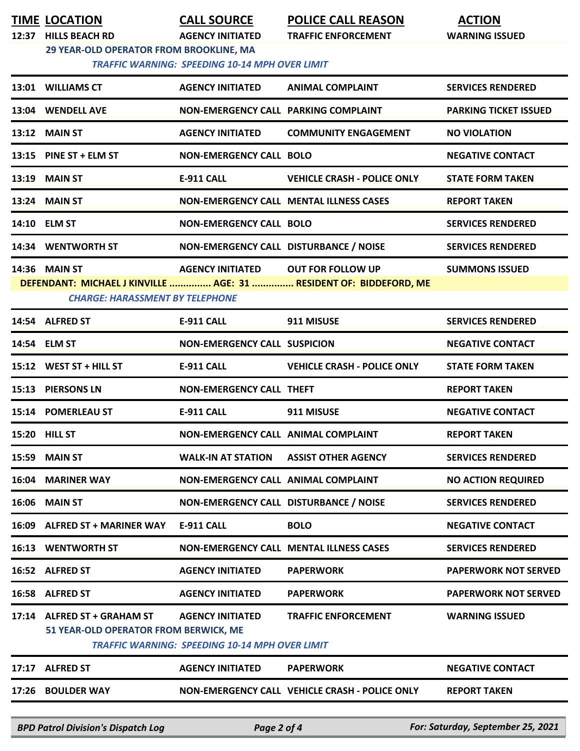| 12:37 HILLS BEACH RD                                                                             | <b>AGENCY INITIATED</b>                                                          | <b>POLICE CALL REASON</b><br><b>TRAFFIC ENFORCEMENT</b>            | <b>ACTION</b><br><b>WARNING ISSUED</b> |  |
|--------------------------------------------------------------------------------------------------|----------------------------------------------------------------------------------|--------------------------------------------------------------------|----------------------------------------|--|
| 29 YEAR-OLD OPERATOR FROM BROOKLINE, MA<br><b>TRAFFIC WARNING: SPEEDING 10-14 MPH OVER LIMIT</b> |                                                                                  |                                                                    |                                        |  |
| 13:01 WILLIAMS CT                                                                                | <b>AGENCY INITIATED</b>                                                          | <b>ANIMAL COMPLAINT</b>                                            | <b>SERVICES RENDERED</b>               |  |
| 13:04 WENDELL AVE                                                                                | NON-EMERGENCY CALL PARKING COMPLAINT                                             |                                                                    | <b>PARKING TICKET ISSUED</b>           |  |
| <b>13:12 MAIN ST</b>                                                                             | <b>AGENCY INITIATED</b>                                                          | <b>COMMUNITY ENGAGEMENT</b>                                        | <b>NO VIOLATION</b>                    |  |
| 13:15 PINE ST + ELM ST                                                                           | <b>NON-EMERGENCY CALL BOLO</b>                                                   |                                                                    | <b>NEGATIVE CONTACT</b>                |  |
| <b>13:19 MAIN ST</b>                                                                             | <b>E-911 CALL</b>                                                                | <b>VEHICLE CRASH - POLICE ONLY</b>                                 | <b>STATE FORM TAKEN</b>                |  |
| <b>13:24 MAIN ST</b>                                                                             | <b>NON-EMERGENCY CALL MENTAL ILLNESS CASES</b>                                   |                                                                    | <b>REPORT TAKEN</b>                    |  |
| 14:10 ELM ST                                                                                     | <b>NON-EMERGENCY CALL BOLO</b>                                                   |                                                                    | <b>SERVICES RENDERED</b>               |  |
| 14:34 WENTWORTH ST                                                                               | NON-EMERGENCY CALL DISTURBANCE / NOISE                                           |                                                                    | <b>SERVICES RENDERED</b>               |  |
| <b>14:36 MAIN ST</b><br><b>CHARGE: HARASSMENT BY TELEPHONE</b>                                   | AGENCY INITIATED OUT FOR FOLLOW UP                                               | DEFENDANT: MICHAEL J KINVILLE  AGE: 31  RESIDENT OF: BIDDEFORD, ME | <b>SUMMONS ISSUED</b>                  |  |
| 14:54 ALFRED ST                                                                                  | <b>E-911 CALL</b>                                                                | 911 MISUSE                                                         | <b>SERVICES RENDERED</b>               |  |
| 14:54 ELM ST                                                                                     | <b>NON-EMERGENCY CALL SUSPICION</b>                                              |                                                                    | <b>NEGATIVE CONTACT</b>                |  |
| 15:12 WEST ST + HILL ST                                                                          | <b>E-911 CALL</b>                                                                | <b>VEHICLE CRASH - POLICE ONLY</b>                                 | <b>STATE FORM TAKEN</b>                |  |
| 15:13 PIERSONS LN                                                                                | <b>NON-EMERGENCY CALL THEFT</b>                                                  |                                                                    | <b>REPORT TAKEN</b>                    |  |
| 15:14 POMERLEAU ST                                                                               | <b>E-911 CALL</b>                                                                | 911 MISUSE                                                         | <b>NEGATIVE CONTACT</b>                |  |
| 15:20 HILL ST                                                                                    | NON-EMERGENCY CALL ANIMAL COMPLAINT                                              |                                                                    | <b>REPORT TAKEN</b>                    |  |
| 15:59 MAIN ST                                                                                    | <b>WALK-IN AT STATION</b>                                                        | <b>ASSIST OTHER AGENCY</b>                                         | <b>SERVICES RENDERED</b>               |  |
| <b>16:04 MARINER WAY</b>                                                                         | <b>NON-EMERGENCY CALL ANIMAL COMPLAINT</b>                                       |                                                                    | <b>NO ACTION REQUIRED</b>              |  |
| <b>16:06 MAIN ST</b>                                                                             | NON-EMERGENCY CALL DISTURBANCE / NOISE                                           |                                                                    | <b>SERVICES RENDERED</b>               |  |
| 16:09 ALFRED ST + MARINER WAY                                                                    | <b>E-911 CALL</b>                                                                | <b>BOLO</b>                                                        | <b>NEGATIVE CONTACT</b>                |  |
| <b>16:13 WENTWORTH ST</b>                                                                        | <b>NON-EMERGENCY CALL MENTAL ILLNESS CASES</b>                                   |                                                                    | <b>SERVICES RENDERED</b>               |  |
| 16:52 ALFRED ST                                                                                  | <b>AGENCY INITIATED</b>                                                          | <b>PAPERWORK</b>                                                   | <b>PAPERWORK NOT SERVED</b>            |  |
| 16:58 ALFRED ST                                                                                  | <b>AGENCY INITIATED</b>                                                          | <b>PAPERWORK</b>                                                   | <b>PAPERWORK NOT SERVED</b>            |  |
| 17:14 ALFRED ST + GRAHAM ST<br>51 YEAR-OLD OPERATOR FROM BERWICK, ME                             | <b>AGENCY INITIATED</b><br><b>TRAFFIC WARNING: SPEEDING 10-14 MPH OVER LIMIT</b> | <b>TRAFFIC ENFORCEMENT</b>                                         | <b>WARNING ISSUED</b>                  |  |
| 17:17 ALFRED ST                                                                                  | <b>AGENCY INITIATED</b>                                                          | <b>PAPERWORK</b>                                                   | <b>NEGATIVE CONTACT</b>                |  |
| 17:26 BOULDER WAY                                                                                |                                                                                  | NON-EMERGENCY CALL VEHICLE CRASH - POLICE ONLY                     | <b>REPORT TAKEN</b>                    |  |

*BPD Patrol Division's Dispatch Log Page 2 of 4 For: Saturday, September 25, 2021*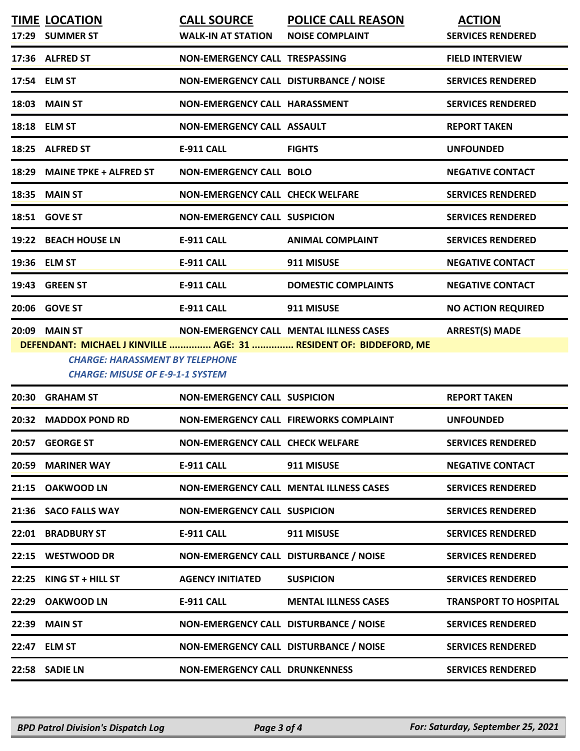|       | <b>TIME LOCATION</b>                                                              | <b>CALL SOURCE</b>                      | <b>POLICE CALL REASON</b>                                          | <b>ACTION</b>                |
|-------|-----------------------------------------------------------------------------------|-----------------------------------------|--------------------------------------------------------------------|------------------------------|
|       | 17:29 SUMMER ST                                                                   | <b>WALK-IN AT STATION</b>               | <b>NOISE COMPLAINT</b>                                             | <b>SERVICES RENDERED</b>     |
|       | 17:36 ALFRED ST                                                                   | NON-EMERGENCY CALL TRESPASSING          |                                                                    | <b>FIELD INTERVIEW</b>       |
|       | 17:54 ELM ST                                                                      | NON-EMERGENCY CALL DISTURBANCE / NOISE  |                                                                    | <b>SERVICES RENDERED</b>     |
|       | <b>18:03 MAIN ST</b>                                                              | NON-EMERGENCY CALL HARASSMENT           |                                                                    | <b>SERVICES RENDERED</b>     |
|       | 18:18 ELM ST                                                                      | <b>NON-EMERGENCY CALL ASSAULT</b>       |                                                                    | <b>REPORT TAKEN</b>          |
|       | 18:25 ALFRED ST                                                                   | E-911 CALL                              | <b>FIGHTS</b>                                                      | <b>UNFOUNDED</b>             |
| 18:29 | <b>MAINE TPKE + ALFRED ST</b>                                                     | <b>NON-EMERGENCY CALL BOLO</b>          |                                                                    | <b>NEGATIVE CONTACT</b>      |
|       | 18:35 MAIN ST                                                                     | NON-EMERGENCY CALL CHECK WELFARE        |                                                                    | <b>SERVICES RENDERED</b>     |
|       | 18:51 GOVE ST                                                                     | <b>NON-EMERGENCY CALL SUSPICION</b>     |                                                                    | <b>SERVICES RENDERED</b>     |
|       | 19:22 BEACH HOUSE LN                                                              | <b>E-911 CALL</b>                       | <b>ANIMAL COMPLAINT</b>                                            | <b>SERVICES RENDERED</b>     |
|       | 19:36 ELM ST                                                                      | <b>E-911 CALL</b>                       | 911 MISUSE                                                         | <b>NEGATIVE CONTACT</b>      |
|       | 19:43 GREEN ST                                                                    | E-911 CALL                              | <b>DOMESTIC COMPLAINTS</b>                                         | <b>NEGATIVE CONTACT</b>      |
|       | 20:06 GOVE ST                                                                     | <b>E-911 CALL</b>                       | 911 MISUSE                                                         | <b>NO ACTION REQUIRED</b>    |
|       | 20:09 MAIN ST                                                                     |                                         | NON-EMERGENCY CALL MENTAL ILLNESS CASES                            | <b>ARREST(S) MADE</b>        |
|       |                                                                                   |                                         | DEFENDANT: MICHAEL J KINVILLE  AGE: 31  RESIDENT OF: BIDDEFORD, ME |                              |
|       | <b>CHARGE: HARASSMENT BY TELEPHONE</b><br><b>CHARGE: MISUSE OF E-9-1-1 SYSTEM</b> |                                         |                                                                    |                              |
|       | 20:30 GRAHAM ST                                                                   | <b>NON-EMERGENCY CALL SUSPICION</b>     |                                                                    | <b>REPORT TAKEN</b>          |
| 20:32 | <b>MADDOX POND RD</b>                                                             | NON-EMERGENCY CALL FIREWORKS COMPLAINT  |                                                                    |                              |
|       |                                                                                   |                                         |                                                                    | <b>UNFOUNDED</b>             |
|       | 20:57 GEORGE ST                                                                   | <b>NON-EMERGENCY CALL CHECK WELFARE</b> |                                                                    | <b>SERVICES RENDERED</b>     |
| 20:59 | <b>MARINER WAY</b>                                                                | <b>E-911 CALL</b>                       | 911 MISUSE                                                         | <b>NEGATIVE CONTACT</b>      |
|       | 21:15 OAKWOOD LN                                                                  |                                         | <b>NON-EMERGENCY CALL MENTAL ILLNESS CASES</b>                     | <b>SERVICES RENDERED</b>     |
|       | 21:36 SACO FALLS WAY                                                              | <b>NON-EMERGENCY CALL SUSPICION</b>     |                                                                    | <b>SERVICES RENDERED</b>     |
|       | 22:01 BRADBURY ST                                                                 | <b>E-911 CALL</b>                       | 911 MISUSE                                                         | <b>SERVICES RENDERED</b>     |
| 22:15 | <b>WESTWOOD DR</b>                                                                | NON-EMERGENCY CALL DISTURBANCE / NOISE  |                                                                    | <b>SERVICES RENDERED</b>     |
| 22:25 | KING ST + HILL ST                                                                 | <b>AGENCY INITIATED</b>                 | <b>SUSPICION</b>                                                   | <b>SERVICES RENDERED</b>     |
| 22:29 | <b>OAKWOOD LN</b>                                                                 | <b>E-911 CALL</b>                       | <b>MENTAL ILLNESS CASES</b>                                        | <b>TRANSPORT TO HOSPITAL</b> |
| 22:39 | <b>MAIN ST</b>                                                                    | NON-EMERGENCY CALL DISTURBANCE / NOISE  |                                                                    | <b>SERVICES RENDERED</b>     |
|       | 22:47 ELM ST                                                                      | NON-EMERGENCY CALL DISTURBANCE / NOISE  |                                                                    | <b>SERVICES RENDERED</b>     |
|       | 22:58 SADIE LN                                                                    | <b>NON-EMERGENCY CALL DRUNKENNESS</b>   |                                                                    | <b>SERVICES RENDERED</b>     |